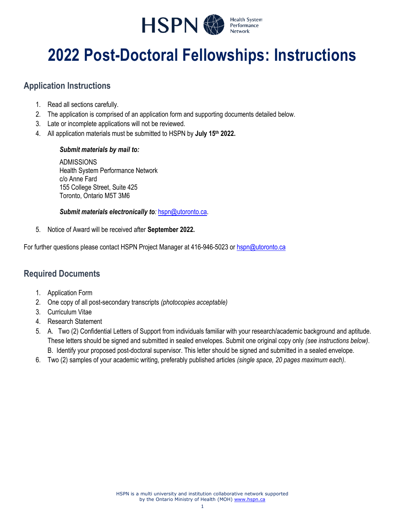

# **2022 Post-Doctoral Fellowships: Instructions**

## **Application Instructions**

- 1. Read all sections carefully.
- 2. The application is comprised of an application form and supporting documents detailed below.
- 3. Late or incomplete applications will not be reviewed.
- 4. All application materials must be submitted to HSPN by **July 15th 2022.**

#### *Submit materials by mail to:*

ADMISSIONS Health System Performance Network c/o Anne Fard 155 College Street, Suite 425 Toronto, Ontario M5T 3M6

#### *Submit materials electronically to:* [hspn@utoronto.ca.](mailto:hspn@utoronto.ca)

5. Notice of Award will be received after **September 2022.**

For further questions please contact HSPN Project Manager at 416-946-5023 or [hspn@utoronto.ca](mailto:hspn@utoronto.ca)

## **Required Documents**

- 1. Application Form
- 2. One copy of all post-secondary transcripts *(photocopies acceptable)*
- 3. Curriculum Vitae
- 4. Research Statement
- 5. A. Two (2) Confidential Letters of Support from individuals familiar with your research/academic background and aptitude. These letters should be signed and submitted in sealed envelopes. Submit one original copy only *(see instructions below)*. B. Identify your proposed post-doctoral supervisor. This letter should be signed and submitted in a sealed envelope.
- 6. Two (2) samples of your academic writing, preferably published articles *(single space, 20 pages maximum each)*.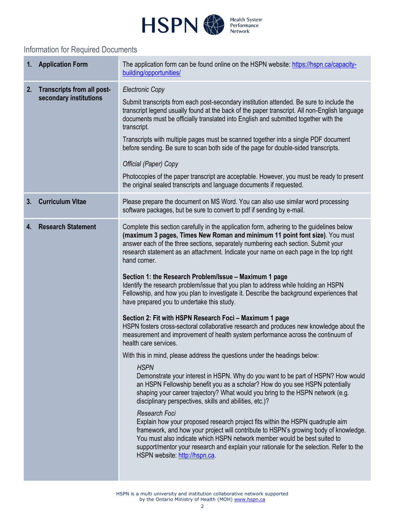

# Information for Required Documents

|    | 1. Application Form                                         | The application form can be found online on the HSPN website: https://hspn.ca/capacity-<br>building/opportunities/                                                                                                                                                                                                                                                                                                                                                                                                                                                                                                                                                                                                                                                                                                                                                                                                                                                                                                                                                                                                                                                                                                                                                                                                                                                                                                                                                                                                                                                                                                                                                                                                                                 |
|----|-------------------------------------------------------------|----------------------------------------------------------------------------------------------------------------------------------------------------------------------------------------------------------------------------------------------------------------------------------------------------------------------------------------------------------------------------------------------------------------------------------------------------------------------------------------------------------------------------------------------------------------------------------------------------------------------------------------------------------------------------------------------------------------------------------------------------------------------------------------------------------------------------------------------------------------------------------------------------------------------------------------------------------------------------------------------------------------------------------------------------------------------------------------------------------------------------------------------------------------------------------------------------------------------------------------------------------------------------------------------------------------------------------------------------------------------------------------------------------------------------------------------------------------------------------------------------------------------------------------------------------------------------------------------------------------------------------------------------------------------------------------------------------------------------------------------------|
| 2. | <b>Transcripts from all post-</b><br>secondary institutions | <b>Electronic Copy</b><br>Submit transcripts from each post-secondary institution attended. Be sure to include the<br>transcript legend usually found at the back of the paper transcript. All non-English language<br>documents must be officially translated into English and submitted together with the<br>transcript.<br>Transcripts with multiple pages must be scanned together into a single PDF document<br>before sending. Be sure to scan both side of the page for double-sided transcripts.<br>Official (Paper) Copy<br>Photocopies of the paper transcript are acceptable. However, you must be ready to present<br>the original sealed transcripts and language documents if requested.                                                                                                                                                                                                                                                                                                                                                                                                                                                                                                                                                                                                                                                                                                                                                                                                                                                                                                                                                                                                                                             |
| 3. | <b>Curriculum Vitae</b>                                     | Please prepare the document on MS Word. You can also use similar word processing<br>software packages, but be sure to convert to pdf if sending by e-mail.                                                                                                                                                                                                                                                                                                                                                                                                                                                                                                                                                                                                                                                                                                                                                                                                                                                                                                                                                                                                                                                                                                                                                                                                                                                                                                                                                                                                                                                                                                                                                                                         |
| 4. | <b>Research Statement</b>                                   | Complete this section carefully in the application form, adhering to the guidelines below<br>(maximum 3 pages, Times New Roman and minimum 11 point font size). You must<br>answer each of the three sections, separately numbering each section. Submit your<br>research statement as an attachment. Indicate your name on each page in the top right<br>hand corner.<br>Section 1: the Research Problem/Issue - Maximum 1 page<br>Identify the research problem/issue that you plan to address while holding an HSPN<br>Fellowship, and how you plan to investigate it. Describe the background experiences that<br>have prepared you to undertake this study.<br>Section 2: Fit with HSPN Research Foci - Maximum 1 page<br>HSPN fosters cross-sectoral collaborative research and produces new knowledge about the<br>measurement and improvement of health system performance across the continuum of<br>health care services.<br>With this in mind, please address the questions under the headings below:<br><b>HSPN</b><br>Demonstrate your interest in HSPN. Why do you want to be part of HSPN? How would<br>an HSPN Fellowship benefit you as a scholar? How do you see HSPN potentially<br>shaping your career trajectory? What would you bring to the HSPN network (e.g.<br>disciplinary perspectives, skills and abilities, etc.)?<br>Research Foci<br>Explain how your proposed research project fits within the HSPN quadruple aim<br>framework, and how your project will contribute to HSPN's growing body of knowledge.<br>You must also indicate which HSPN network member would be best suited to<br>support/mentor your research and explain your rationale for the selection. Refer to the<br>HSPN website: http://hspn.ca. |